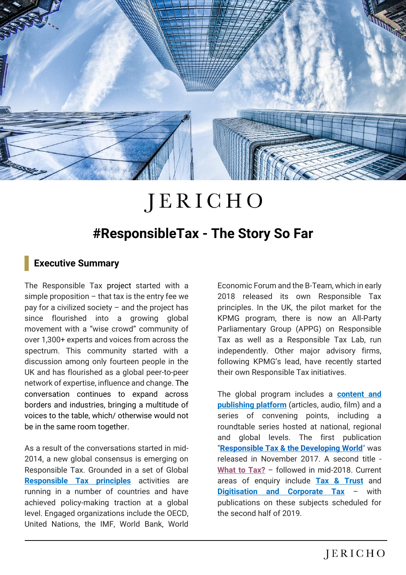

# JERICHO

## **#ResponsibleTax - The Story So Far**

#### **Executive Summary**

The Responsible Tax project started with a simple proposition  $-$  that tax is the entry fee we pay for a civilized society – and the project has since flourished into a growing global movement with a "wise crowd" community of over 1,300+ experts and voices from across the spectrum. This community started with a discussion among only fourteen people in the UK and has flourished as a global peer-to-peer network of expertise, influence and change. The conversation continues to expand across borders and industries, bringing a multitude of voices to the table, which/ otherwise would not be in the same room together.

As a result of the conversations started in mid-2014, a new global consensus is emerging on Responsible Tax. Grounded in a set of Global **[Responsible Tax principles](https://home.kpmg/xx/en/home/campaigns/2015/01/tax-transparency-morality.html)** activities are running in a number of countries and have achieved policy-making traction at a global level. Engaged organizations include the OECD, United Nations, the IMF, World Bank, World

Economic Forum and the B-Team, which in early 2018 released its own Responsible Tax principles. In the UK, the pilot market for the KPMG program, there is now an All-Party Parliamentary Group (APPG) on Responsible Tax as well as a Responsible Tax Lab, run independently. Other major advisory firms, following KPMG's lead, have recently started their own Responsible Tax initiatives.

The global program includes a **[content and](https://responsibletax.kpmg.com/home)  [publishing platform](https://responsibletax.kpmg.com/home)** (articles, audio, film) and a series of convening points, including a roundtable series hosted at national, regional and global levels. The first publication "**[Responsible Tax & the Developing World](http://jerichochambers.com/wp-content/uploads/2017/12/DevWorldEbook.pdf)**" was released in November 2017. A second title - **[What to Tax?](https://responsibletax.kpmg.com/page/-what-to-tax-full-publication-now-available/)** – followed in mid-2018. Current areas of enquiry include **[Tax & Trust](https://responsibletax.kpmg.com/page/talk-tax-not-trust/)** and **[Digitisation and Corporate Tax](https://responsibletax.kpmg.com/page/global-taxation-an-inquiry-into-the-future-of-corporate-taxation-in-an-era-of-digitization/)** – with publications on these subjects scheduled for the second half of 2019.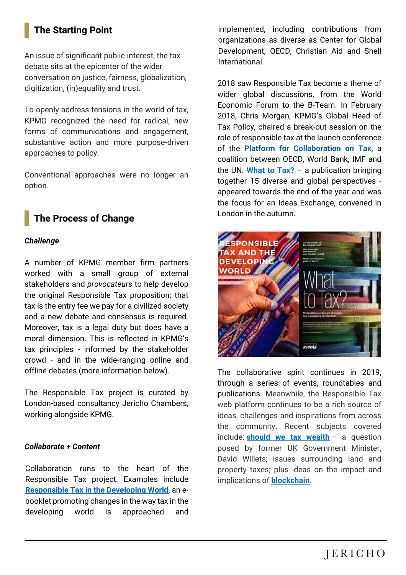## **The Starting Point**

An issue of significant public interest, the tax debate sits at the epicenter of the wider conversation on justice, fairness, globalization, digitization, (in)equality and trust.

To openly address tensions in the world of tax, KPMG recognized the need for radical, new forms of communications and engagement, substantive action and more purpose-driven approaches to policy.

Conventional approaches were no longer an option.

### **The Process of Change**

#### *Challenge*

A number of KPMG member firm partners worked with a small group of external stakeholders and *provocateurs* to help develop the original Responsible Tax proposition: that tax is the entry fee we pay for a civilized society and a new debate and consensus is required. Moreover, tax is a legal duty but does have a moral dimension. This is reflected in KPMG's tax principles - informed by the stakeholder crowd - and in the wide-ranging online and offline debates (more information below).

The Responsible Tax project is curated by London-based consultancy Jericho Chambers, working alongside KPMG.

#### *Collaborate + Content*

Collaboration runs to the heart of the Responsible Tax project. Examples include **Responsible Tax in [the Developing World](http://jerichochambers.com/wp-content/uploads/2017/12/DevWorldEbook.pdf)**, an ebooklet promoting changes in the way tax in the developing world is approached and implemented, including contributions from organizations as diverse as Center for Global Development, OECD, Christian Aid and Shell International.

2018 saw Responsible Tax become a theme of wider global discussions, from the World Economic Forum to the B-Team. In February 2018, Chris Morgan, KPMG's Global Head of Tax Policy, chaired a break-out session on the role of responsible tax at the launch conference of the **Platform for [Collaboration on Tax](https://www.oecd.org/ctp/platform-for-collaboration-on-tax.htm)**, a coalition between OECD, World Bank, IMF and the UN. **[What to Tax?](https://responsibletax.kpmg.com/page/-what-to-tax-full-publication-now-available/)** – a publication bringing together 15 diverse and global perspectives appeared towards the end of the year and was the focus for an Ideas Exchange, convened in London in the autumn.



The collaborative spirit continues in 2019, through a series of events, roundtables and publications. Meanwhile, the Responsible Tax web platform continues to be a rich source of ideas, challenges and inspirations from across the community. Recent subjects covered include: **[should we tax wealth](https://responsibletax.kpmg.com/page/why-should-we-tax-wealth-/)** – a question posed by former UK Government Minister, David Willets; issues surrounding land and property taxes; plus ideas on the impact and implications of **[blockchain](https://responsibletax.kpmg.com/page/blockchain-tokens-and-data-valuation)**.